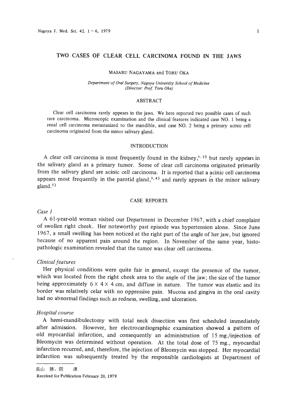#### MASARU NAGAYAMA and TORU OKA

*Department ofOral Surgery, Nagoya University School ofMedicine (Director: Prof. Toro Oka)*

### ABSTRACT

Clear cell carcinoma rarely appears in the jaws. We here reported two possible cases of such rare carcinoma. Microscopic examination and the clinical features indicated case NO. I being a renal cell carcinoma metastasized to the mandible, and case NO.2 being a primary acinic cell carcinoma originated from the minor salivary gland.

## INTRODUCTION

A clear cell carcinoma is most frequently found in the kidney,<sup>1,2)</sup> but rarely appears in the salivary gland as a primary tumor. Some of clear cell carcinoma originated primarily from the salivary gland are acinic ceIl carcinoma. It is reported that a acinic cell carcinoma appears most frequently in the parotid gland,<sup>3,4)</sup> and rarely appears in the minor salivary  $\text{gland.}^{\text{5}}$ 

## CASE REPORTS

#### *Case 1*

A 61-year-old woman visited our Department in December 1967, with a chief complaint of swoIlen right cheek. Her noteworthy past episode was hypertension alone. Since June 1967, a small swelling has been noticed at the right part of the angle of her jaw, but ignored because of no apparent pain around the region. In November of the same year, histopathologic examination revealed that the tumor was clear ceIl carcinoma.

# *Clinical features*

Her physical conditions were quite fair in general, except the presence of the tumor, which was located from the right cheek area to the angle of the jaw; the size of the tumor being approximately  $6 \times 4 \times 4$  cm, and diffuse in nature. The tumor was elastic and its border was relatively celar with no oppressive pain. Mucosa and gingiva in the oral cavity had no abnormal findings such as redness, swelling, and ulceration.

#### *Hospital course*

A hemi-mandibulectomy with total neck dissection was first scheduled immediately after admission. However, her electrocardiographic examination showed a pattern of old myocardial infarction, and consequently an administration of 15 mg./injection of Bleomycin was determined without operation. At the total dose of 75 mg., myocardial infarction recurred, and, therefore, the injection of Bleomycin was stopped. Her myocardial infarction was subsequently treated by the responsible cardiologists at Department of

長山 勝,岡 達

Received for Publication February 20, 1979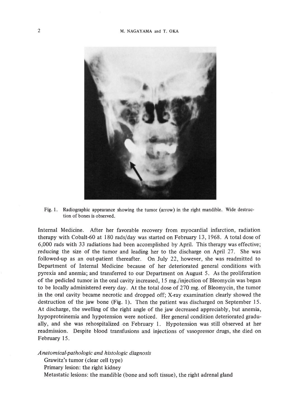

Fig. 1. Radiographic appearance showing the tumor (arrow) in the right mandible. Wide destruc· tion of bones is observed.

Internal Medicine. After her favorable recovery from myocardial infarction, radiation therapy with Cobalt-60 at 180 rads/day was started on February 13, 1968. A total dose of 6,000 rads with 33 radiations had been accomplished by April. This therapy was effective; reducing the size of the tumor and leading her to the discharge on April 27. She was followed-up as an out-patient thereafter. On July 22, however, she was readmitted to Department of Internal Medicine because of her deteriorated general conditions with pyrexia and anemia; and transferred to our Department on August 5. As the proliferation of the pedicled tumor in the oral cavity increased, 15 mg./injection of Bleomycin was began to be locally administered every day. At the total dose of 270 mg. of Bleomycin, the tumor in the oral cavity became necrotic and dropped off; X-ray examination clearly showed the destruction of the jaw bone (Fig. 1). Then the patient was discharged on September 15. At discharge, the swelling of the right angle of the jaw decreased appreciably, but anemia, hypoproteinemia and hypotension were noticed. Her general condition deteriorated gradually, and she was rehospitalized. on February 1. Hypotension was still observed at her readmission. Despite blood transfusions and injections of vasopressor drugs, she died on February 15.

*Anatomical-pathologic and histologic diagnosis*

Grawitz's tumor (clear cell type)

Primary lesion: the right kidney

Metastatic lesions: the mandible (bone and soft tissue), the right adrenal gland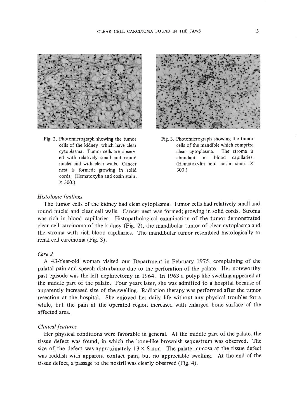

Fig. 2. Photomicrograph showing the tumor cells of the kidney, which have clear cytoplasma. Tumor cells are observed with relatively small and round nuclei and with clear walls. Cancer nest is formed; growing in solid cords. (Hematoxylin and eosin stain.  $\times$  300.)



Fig. 3. Photomicrograph showing the tumor cells of the mandible which comprize clear cytoplasma. The stroma is abundant in blood capillaries. (Hematoxylin and eosin stain. X 300.)

## *Histologic findings*

The tumor cells of the kidney had clear cytoplasma. Tumor cells had relatively small and round nuclei and clear cell walls. Cancer nest was formed; growing in solid cords. Stroma was rich in blood capillaries. Histopathological examination of the tumor demonstrated clear cell carcinoma of the kidney (Fig. 2), the mandibular tumor of clear cytoplasma and the stroma with rich blood capillaries. The mandibular tumor resembled histologically to renal cell carcinoma (Fig. 3).

# *Case 2*

A 43-Year-old woman visited our Department in February 1975, complaining of the palatal pain and speech disturbance due to the perforation of the palate. Her noteworthy past episode was the left nephrectomy in 1964. **In** 1963 a polyp-like swelling appeared at the middle part of the palate. Four years later, she was admitted to a hospital because of apparently increased size of the swelling. Radiation therapy was performed after the tumor resection at the hospital. She enjoyed her daily life without any physical troubles for a while, but the pain at the operated region increased with enlarged bone surface of the affected area.

# *Clinical features*

Her physical conditions were favorable in general. At the middle part of the palate, the tissue defect was found, in which the bone-like brownish sequestrum was observed. The size of the defect was approximately  $13 \times 8$  mm. The palate mucosa at the tissue defect was reddish with apparent contact pain, but no appreciable swelling. At the end of the tissue defect, a passage to the nostril was clearly observed (Fig. 4).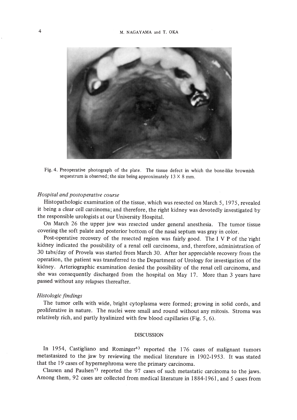

Fig. 4. Preoperative photograph of the plate. The tissue defect in which the bone-like brownish sequestrum is observed; the size being approximately  $13 \times 8$  mm.

# *Hospital and postoperative course*

Histopathologic examination of the tissue, which was resected on March 5, 1975, revealed it being a clear cell carcinoma; and therefore, the right kidney was devotedly investigated by the responsible urologists at our University Hospital.

On March 26 the upper jaw was resected under general anesthesia. The tumor tissue covering the soft palate and posterior bottom of the nasal septum was gray in color.

Post-operative recovery of the resected region was fairly good. The I V P of the 'right kidney indicated the possibility of a renal cell carcinoma, and, therefore, administration of 30 tabs/day of Provela was started from March 30. After her appreciable recovery from the operation, the patient was transferred to the Department of Urology for investigation of the kidney. Arteriographic examination denied the possibility of the renal cell carcinoma, and she was consequently discharged from the hospital on May 17. More than 3 years have passed without any relapses thereafter.

# *Histologic findings*

The tumor cells with wide, bright cytoplasma were formed; growing in solid cords, and proliferative in nature. The nuclei were small and round without any mitosis. Stroma was relatively rich, and partly hyalinized with few blood capillaries (Fig. 5, 6).

# DISCUSSION

In 1954, Castigliano and Rominger<sup>6)</sup> reported the  $176$  cases of malignant tumors metastasized to the jaw by reviewing the medical literature in 1902-1953. It was stated that the 19 cases of hypernephroma were the primary carcinoma.

Clausen and Paulsen?) reported the 97 cases of such metastatic carcinoma to the jaws. Among them, 92 cases are collected from medical literature in 1884-1961, and 5 cases from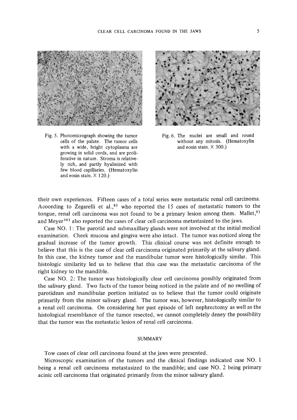

Fig. 5. Photomicrograph showing the tumor cells of the palate. The tumor cells with a wide, bright cytoplasma are growing in solid cords, and are proli· ferative in nature. Stroma is relatively rich, and partly hyalinized with few blood capillaries. (Hematoxylin and eosin stain.  $\times$  120.)



Fig. 6. The nuclei are smaIl and round without any mitosis. (Hematoxylin and eosin stain. X 300.)

their own experiences. Fifteen cases of a total series were metastatic renal cell carcinoma. Acoording to Zegarelli et al., $8$ ) who reported the 15 cases of metastatic tumors to the tongue, renal cell carcinoma was not found to be a primary lesion among them. Mallet,<sup>9)</sup> and Meyer<sup>10)</sup> also reported the cases of clear cell carcinoma metastasized to the jaws.

Case NO.1: The parotid and submaxillary glands were not involved at the initial medical examination. Cheek mucosa and gingiva were also intact. The tumor was noticed along the gradual increase of the tumor growth. This clinical course was not definite enough to believe that this is the case of clear cell carcinoma originated primarily at the salivary gland. In this case, the kidney tumor and the mandibular tumor were histologically similar. This histologic similarity led us to believe that this case was the metastatic carcinoma of the right kidney to the mandible.

Case NO.2: The tumor was histologically clear cell carcinoma possibly originated from the salivary gland. Two facts of the tumor being noticed in the palate and of no swelling of parotidean and mandibular portion initiated us to believe that the tumor could originate primarily from the minor salivary gland. The tumor was, however, histologically similar to a renal cell carcinoma. On considering her past episode of left nephrectomy as well as the histological resemblance of the tumor resected, we cannot completely deney the possibility that the tumor was the metastatic lesion of renal cell carcinoma.

### SUMMARY

Tow cases of clear cell carcinoma found at the jaws were presented.

Microscopic examination of the tumors and the clinical findings indicated case NO. I being a renal cell carcinoma metastasized to the mandible; and case NO.2 being primary acinic cell carcinoma that originated primarily from the minor salivary gland.